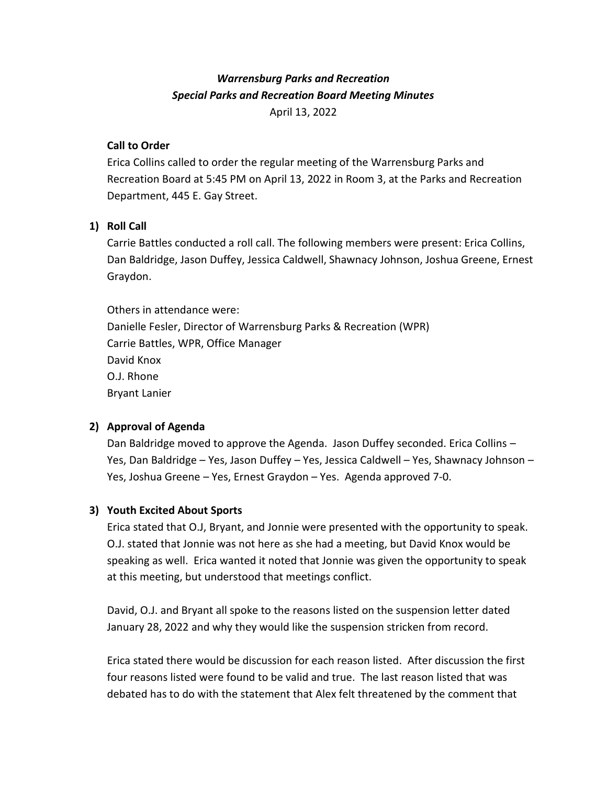# *Warrensburg Parks and Recreation Special Parks and Recreation Board Meeting Minutes* April 13, 2022

## **Call to Order**

Erica Collins called to order the regular meeting of the Warrensburg Parks and Recreation Board at 5:45 PM on April 13, 2022 in Room 3, at the Parks and Recreation Department, 445 E. Gay Street.

# **1) Roll Call**

Carrie Battles conducted a roll call. The following members were present: Erica Collins, Dan Baldridge, Jason Duffey, Jessica Caldwell, Shawnacy Johnson, Joshua Greene, Ernest Graydon.

Others in attendance were: Danielle Fesler, Director of Warrensburg Parks & Recreation (WPR) Carrie Battles, WPR, Office Manager David Knox O.J. Rhone Bryant Lanier

#### **2) Approval of Agenda**

Dan Baldridge moved to approve the Agenda. Jason Duffey seconded. Erica Collins – Yes, Dan Baldridge – Yes, Jason Duffey – Yes, Jessica Caldwell – Yes, Shawnacy Johnson – Yes, Joshua Greene – Yes, Ernest Graydon – Yes. Agenda approved 7-0.

#### **3) Youth Excited About Sports**

Erica stated that O.J, Bryant, and Jonnie were presented with the opportunity to speak. O.J. stated that Jonnie was not here as she had a meeting, but David Knox would be speaking as well. Erica wanted it noted that Jonnie was given the opportunity to speak at this meeting, but understood that meetings conflict.

David, O.J. and Bryant all spoke to the reasons listed on the suspension letter dated January 28, 2022 and why they would like the suspension stricken from record.

Erica stated there would be discussion for each reason listed. After discussion the first four reasons listed were found to be valid and true. The last reason listed that was debated has to do with the statement that Alex felt threatened by the comment that